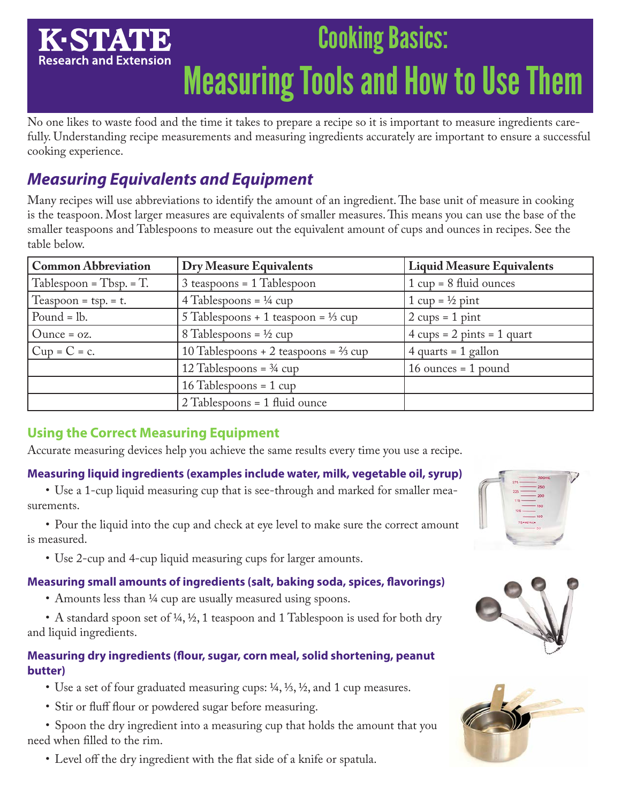## Cooking Basics: K-STAT **Research and Extension** Measuring Tools and How to Use Them

No one likes to waste food and the time it takes to prepare a recipe so it is important to measure ingredients carefully. Understanding recipe measurements and measuring ingredients accurately are important to ensure a successful cooking experience.

# *Measuring Equivalents and Equipment*

Many recipes will use abbreviations to identify the amount of an ingredient. The base unit of measure in cooking is the teaspoon. Most larger measures are equivalents of smaller measures. This means you can use the base of the smaller teaspoons and Tablespoons to measure out the equivalent amount of cups and ounces in recipes. See the table below.

| <b>Common Abbreviation</b> | <b>Dry Measure Equivalents</b>                   | <b>Liquid Measure Equivalents</b>                    |
|----------------------------|--------------------------------------------------|------------------------------------------------------|
| $Tablespoon = Tbsp = T.$   | $3$ teaspoons = 1 Tablespoon                     | $1 cup = 8 fluid ounces$                             |
| Teaspoon = $tsp. = t$ .    | 4 Tablespoons = $\frac{1}{4}$ cup                | $1 cup = \frac{1}{2} pint$                           |
| Pound $=$ lb.              | 5 Tablespoons + 1 teaspoon = $\frac{1}{3}$ cup   | $2 \text{ cups} = 1 \text{ pint}$                    |
| $Q$ unce = $oz$ .          | 8 Tablespoons = $\frac{1}{2}$ cup                | $4 \text{ cups} = 2 \text{ pints} = 1 \text{ quart}$ |
| $Cup = C = c$ .            | 10 Tablespoons + 2 teaspoons = $\frac{2}{3}$ cup | $4$ quarts = 1 gallon                                |
|                            | 12 Tablespoons = $\frac{3}{4}$ cup               | $16$ ounces = 1 pound                                |
|                            | $16$ Tablespoons = 1 cup                         |                                                      |
|                            | $2$ Tablespoons = 1 fluid ounce                  |                                                      |

## **Using the Correct Measuring Equipment**

Accurate measuring devices help you achieve the same results every time you use a recipe.

#### **Measuring liquid ingredients (examples include water, milk, vegetable oil, syrup)**

• Use a 1-cup liquid measuring cup that is see-through and marked for smaller measurements.

• Pour the liquid into the cup and check at eye level to make sure the correct amount is measured.

• Use 2-cup and 4-cup liquid measuring cups for larger amounts.

#### **Measuring small amounts of ingredients (salt, baking soda, spices, flavorings)**

• Amounts less than <sup>1/4</sup> cup are usually measured using spoons.

• A standard spoon set of ¼, ½, 1 teaspoon and 1 Tablespoon is used for both dry and liquid ingredients.

### **Measuring dry ingredients (flour, sugar, corn meal, solid shortening, peanut butter)**

- Use a set of four graduated measuring cups:  $\frac{1}{4}$ ,  $\frac{1}{3}$ ,  $\frac{1}{2}$ , and 1 cup measures.
- Stir or fluff flour or powdered sugar before measuring.
- Spoon the dry ingredient into a measuring cup that holds the amount that you need when filled to the rim.
	- Level off the dry ingredient with the flat side of a knife or spatula.